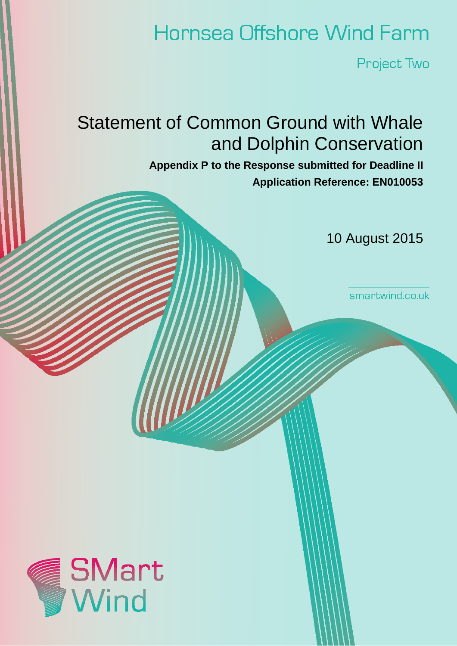# **Hornsea Offshore Wind Farm**

Project Two

## Statement of Common Ground with Whale and Dolphin Conservation

**Appendix P to the Response submitted for Deadline II Application Reference: EN010053**

10 August 2015

smartwind.co.uk

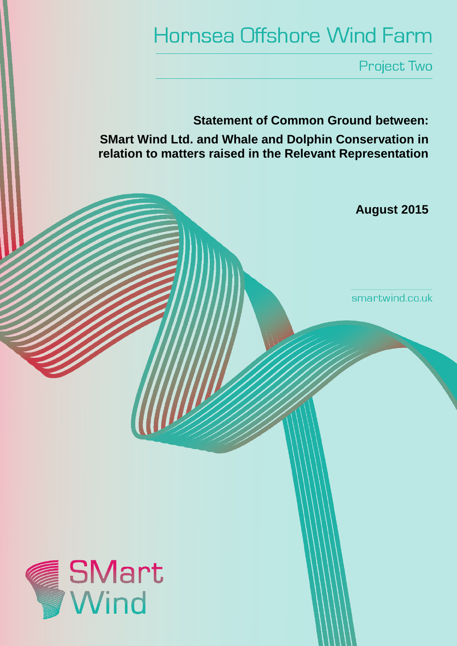# **Hornsea Offshore Wind Farm**

**Project Two** 

**Statement of Common Ground between: SMart Wind Ltd. and Whale and Dolphin Conservation in relation to matters raised in the Relevant Representation**

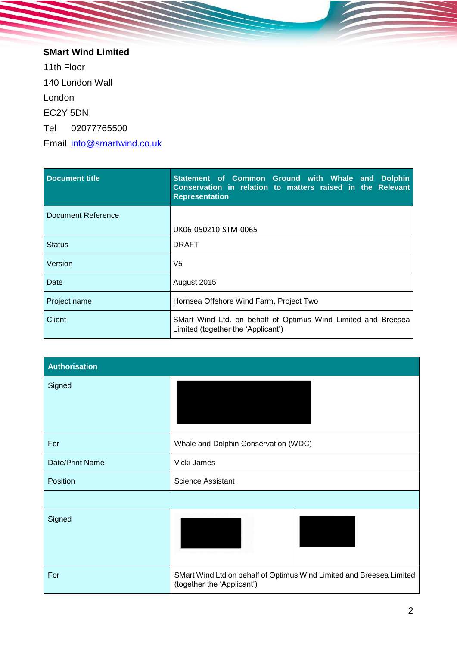**SMart Wind Limited**  11th Floor 140 London Wall London EC2Y 5DN Tel 02077765500 Email [info@smartwind.co.uk](mailto:info@smartwind.co.uk)

| Document title     | Statement of Common Ground with Whale and Dolphin<br>Conservation in relation to matters raised in the Relevant<br><b>Representation</b> |  |
|--------------------|------------------------------------------------------------------------------------------------------------------------------------------|--|
| Document Reference |                                                                                                                                          |  |
|                    | UK06-050210-STM-0065                                                                                                                     |  |
| <b>Status</b>      | <b>DRAFT</b>                                                                                                                             |  |
| Version            | V5                                                                                                                                       |  |
| Date               | August 2015                                                                                                                              |  |
| Project name       | Hornsea Offshore Wind Farm, Project Two                                                                                                  |  |
| Client             | SMart Wind Ltd. on behalf of Optimus Wind Limited and Breesea<br>Limited (together the 'Applicant')                                      |  |

| <b>Authorisation</b> |                                                                                                    |  |
|----------------------|----------------------------------------------------------------------------------------------------|--|
| Signed               |                                                                                                    |  |
| For                  | Whale and Dolphin Conservation (WDC)                                                               |  |
| Date/Print Name      | Vicki James                                                                                        |  |
| Position             | <b>Science Assistant</b>                                                                           |  |
|                      |                                                                                                    |  |
| Signed               |                                                                                                    |  |
| For                  | SMart Wind Ltd on behalf of Optimus Wind Limited and Breesea Limited<br>(together the 'Applicant') |  |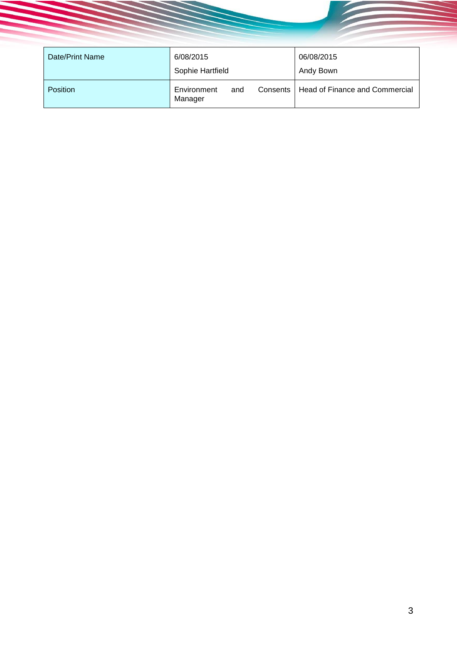| Date/Print Name | 6/08/2015<br>Sophie Hartfield |     |            | 06/08/2015<br>Andy Bown        |
|-----------------|-------------------------------|-----|------------|--------------------------------|
| <b>Position</b> | Environment<br>Manager        | and | Consents I | Head of Finance and Commercial |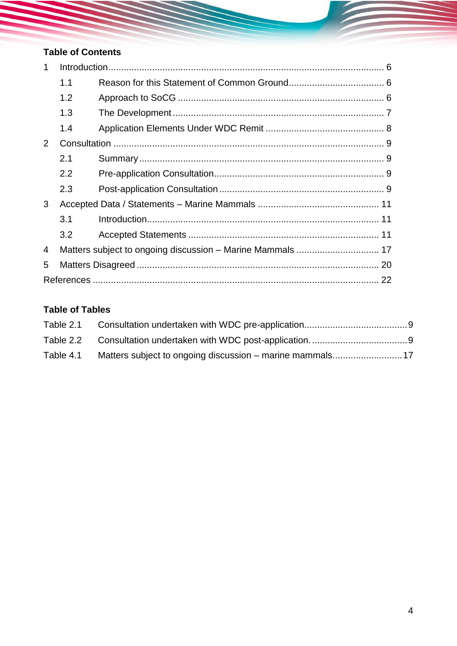## **Table of Contents**

| 1 |     |  |  |
|---|-----|--|--|
|   | 1.1 |  |  |
|   | 1.2 |  |  |
|   | 1.3 |  |  |
|   | 1.4 |  |  |
| 2 |     |  |  |
|   | 2.1 |  |  |
|   | 2.2 |  |  |
|   | 2.3 |  |  |
| 3 |     |  |  |
|   | 3.1 |  |  |
|   | 3.2 |  |  |
| 4 |     |  |  |
| 5 |     |  |  |
|   |     |  |  |

## **Table of Tables**

| Table 2.1 |                                                          |  |
|-----------|----------------------------------------------------------|--|
|           |                                                          |  |
| Table 4.1 | Matters subject to ongoing discussion – marine mammals17 |  |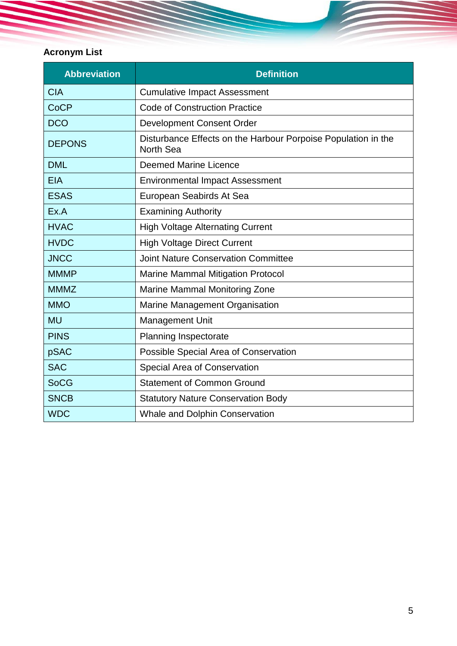## **Acronym List**

| <b>Abbreviation</b> | <b>Definition</b>                                                          |
|---------------------|----------------------------------------------------------------------------|
| <b>CIA</b>          | <b>Cumulative Impact Assessment</b>                                        |
| <b>CoCP</b>         | <b>Code of Construction Practice</b>                                       |
| <b>DCO</b>          | <b>Development Consent Order</b>                                           |
| <b>DEPONS</b>       | Disturbance Effects on the Harbour Porpoise Population in the<br>North Sea |
| <b>DML</b>          | <b>Deemed Marine Licence</b>                                               |
| <b>EIA</b>          | <b>Environmental Impact Assessment</b>                                     |
| <b>ESAS</b>         | European Seabirds At Sea                                                   |
| Ex.A                | <b>Examining Authority</b>                                                 |
| <b>HVAC</b>         | <b>High Voltage Alternating Current</b>                                    |
| <b>HVDC</b>         | <b>High Voltage Direct Current</b>                                         |
| <b>JNCC</b>         | <b>Joint Nature Conservation Committee</b>                                 |
| <b>MMMP</b>         | <b>Marine Mammal Mitigation Protocol</b>                                   |
| <b>MMMZ</b>         | <b>Marine Mammal Monitoring Zone</b>                                       |
| <b>MMO</b>          | Marine Management Organisation                                             |
| <b>MU</b>           | Management Unit                                                            |
| <b>PINS</b>         | Planning Inspectorate                                                      |
| pSAC                | Possible Special Area of Conservation                                      |
| <b>SAC</b>          | Special Area of Conservation                                               |
| <b>SoCG</b>         | <b>Statement of Common Ground</b>                                          |
| <b>SNCB</b>         | <b>Statutory Nature Conservation Body</b>                                  |
| <b>WDC</b>          | <b>Whale and Dolphin Conservation</b>                                      |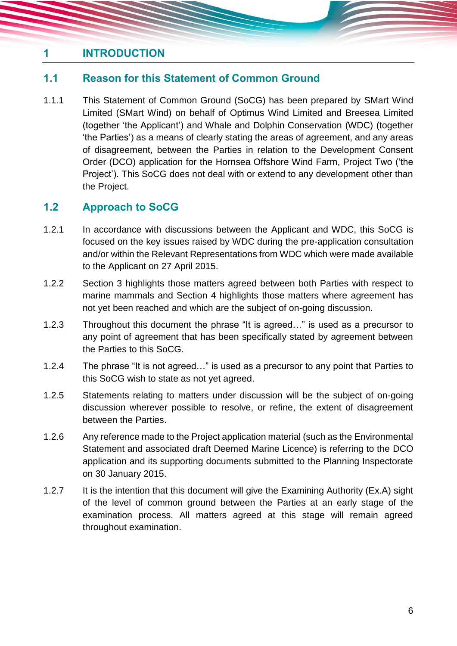## <span id="page-6-0"></span>**1 INTRODUCTION**

## <span id="page-6-1"></span>**1.1 Reason for this Statement of Common Ground**

1.1.1 This Statement of Common Ground (SoCG) has been prepared by SMart Wind Limited (SMart Wind) on behalf of Optimus Wind Limited and Breesea Limited (together 'the Applicant') and Whale and Dolphin Conservation (WDC) (together 'the Parties') as a means of clearly stating the areas of agreement, and any areas of disagreement, between the Parties in relation to the Development Consent Order (DCO) application for the Hornsea Offshore Wind Farm, Project Two ('the Project'). This SoCG does not deal with or extend to any development other than the Project.

## <span id="page-6-2"></span>**1.2 Approach to SoCG**

- 1.2.1 In accordance with discussions between the Applicant and WDC, this SoCG is focused on the key issues raised by WDC during the pre-application consultation and/or within the Relevant Representations from WDC which were made available to the Applicant on 27 April 2015.
- 1.2.2 Section [3](#page-11-0) highlights those matters agreed between both Parties with respect to marine mammals and Section [4](#page-17-0) highlights those matters where agreement has not yet been reached and which are the subject of on-going discussion.
- 1.2.3 Throughout this document the phrase "It is agreed…" is used as a precursor to any point of agreement that has been specifically stated by agreement between the Parties to this SoCG.
- 1.2.4 The phrase "It is not agreed…" is used as a precursor to any point that Parties to this SoCG wish to state as not yet agreed.
- 1.2.5 Statements relating to matters under discussion will be the subject of on-going discussion wherever possible to resolve, or refine, the extent of disagreement between the Parties.
- 1.2.6 Any reference made to the Project application material (such as the Environmental Statement and associated draft Deemed Marine Licence) is referring to the DCO application and its supporting documents submitted to the Planning Inspectorate on 30 January 2015.
- 1.2.7 It is the intention that this document will give the Examining Authority (Ex.A) sight of the level of common ground between the Parties at an early stage of the examination process. All matters agreed at this stage will remain agreed throughout examination.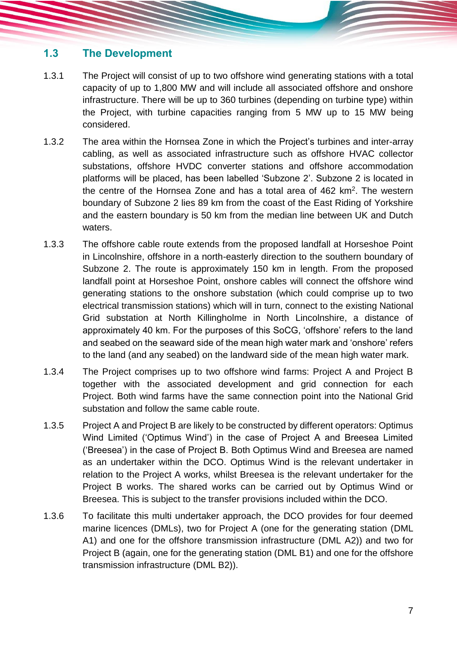## <span id="page-7-0"></span>**1.3 The Development**

- 1.3.1 The Project will consist of up to two offshore wind generating stations with a total capacity of up to 1,800 MW and will include all associated offshore and onshore infrastructure. There will be up to 360 turbines (depending on turbine type) within the Project, with turbine capacities ranging from 5 MW up to 15 MW being considered.
- 1.3.2 The area within the Hornsea Zone in which the Project's turbines and inter-array cabling, as well as associated infrastructure such as offshore HVAC collector substations, offshore HVDC converter stations and offshore accommodation platforms will be placed, has been labelled 'Subzone 2'. Subzone 2 is located in the centre of the Hornsea Zone and has a total area of 462 km<sup>2</sup>. The western boundary of Subzone 2 lies 89 km from the coast of the East Riding of Yorkshire and the eastern boundary is 50 km from the median line between UK and Dutch waters.
- 1.3.3 The offshore cable route extends from the proposed landfall at Horseshoe Point in Lincolnshire, offshore in a north-easterly direction to the southern boundary of Subzone 2. The route is approximately 150 km in length. From the proposed landfall point at Horseshoe Point, onshore cables will connect the offshore wind generating stations to the onshore substation (which could comprise up to two electrical transmission stations) which will in turn, connect to the existing National Grid substation at North Killingholme in North Lincolnshire, a distance of approximately 40 km. For the purposes of this SoCG, 'offshore' refers to the land and seabed on the seaward side of the mean high water mark and 'onshore' refers to the land (and any seabed) on the landward side of the mean high water mark.
- 1.3.4 The Project comprises up to two offshore wind farms: Project A and Project B together with the associated development and grid connection for each Project. Both wind farms have the same connection point into the National Grid substation and follow the same cable route.
- 1.3.5 Project A and Project B are likely to be constructed by different operators: Optimus Wind Limited ('Optimus Wind') in the case of Project A and Breesea Limited ('Breesea') in the case of Project B. Both Optimus Wind and Breesea are named as an undertaker within the DCO. Optimus Wind is the relevant undertaker in relation to the Project A works, whilst Breesea is the relevant undertaker for the Project B works. The shared works can be carried out by Optimus Wind or Breesea. This is subject to the transfer provisions included within the DCO.
- 1.3.6 To facilitate this multi undertaker approach, the DCO provides for four deemed marine licences (DMLs), two for Project A (one for the generating station (DML A1) and one for the offshore transmission infrastructure (DML A2)) and two for Project B (again, one for the generating station (DML B1) and one for the offshore transmission infrastructure (DML B2)).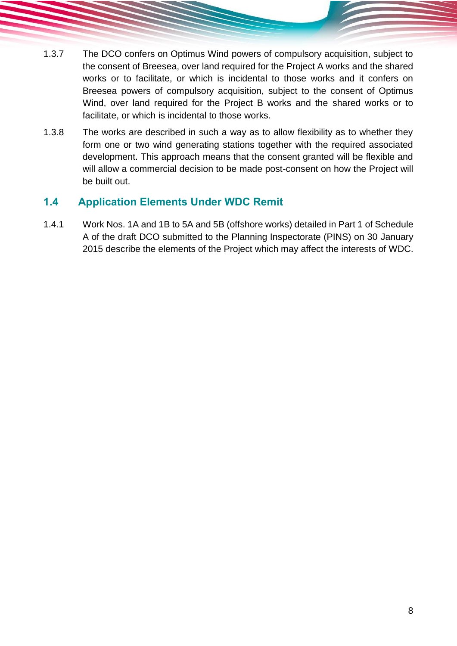- 1.3.7 The DCO confers on Optimus Wind powers of compulsory acquisition, subject to the consent of Breesea, over land required for the Project A works and the shared works or to facilitate, or which is incidental to those works and it confers on Breesea powers of compulsory acquisition, subject to the consent of Optimus Wind, over land required for the Project B works and the shared works or to facilitate, or which is incidental to those works.
- 1.3.8 The works are described in such a way as to allow flexibility as to whether they form one or two wind generating stations together with the required associated development. This approach means that the consent granted will be flexible and will allow a commercial decision to be made post-consent on how the Project will be built out.

## <span id="page-8-0"></span>**1.4 Application Elements Under WDC Remit**

1.4.1 Work Nos. 1A and 1B to 5A and 5B (offshore works) detailed in Part 1 of Schedule A of the draft DCO submitted to the Planning Inspectorate (PINS) on 30 January 2015 describe the elements of the Project which may affect the interests of WDC.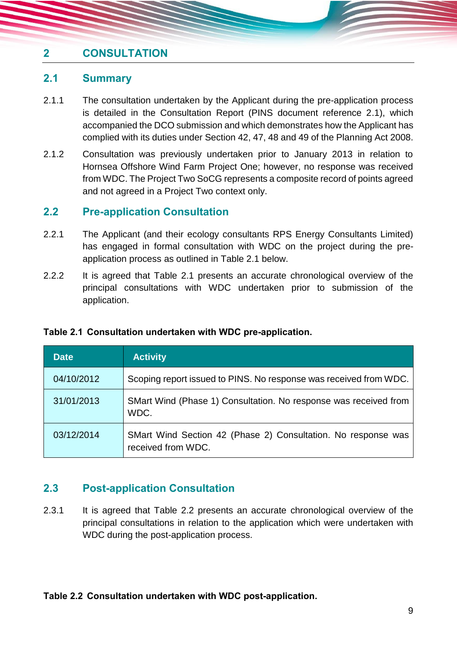## <span id="page-9-0"></span>**2 CONSULTATION**

#### <span id="page-9-1"></span>**2.1 Summary**

- 2.1.1 The consultation undertaken by the Applicant during the pre-application process is detailed in the Consultation Report (PINS document reference 2.1), which accompanied the DCO submission and which demonstrates how the Applicant has complied with its duties under Section 42, 47, 48 and 49 of the Planning Act 2008.
- 2.1.2 Consultation was previously undertaken prior to January 2013 in relation to Hornsea Offshore Wind Farm Project One; however, no response was received from WDC. The Project Two SoCG represents a composite record of points agreed and not agreed in a Project Two context only.

#### <span id="page-9-2"></span>**2.2 Pre-application Consultation**

- 2.2.1 The Applicant (and their ecology consultants RPS Energy Consultants Limited) has engaged in formal consultation with WDC on the project during the preapplication process as outlined in [Table 2.1](#page-9-4) below.
- 2.2.2 It is agreed that [Table 2.1](#page-9-4) presents an accurate chronological overview of the principal consultations with WDC undertaken prior to submission of the application.

| <b>Date</b> | <b>Activity</b>                                                                     |
|-------------|-------------------------------------------------------------------------------------|
| 04/10/2012  | Scoping report issued to PINS. No response was received from WDC.                   |
| 31/01/2013  | SMart Wind (Phase 1) Consultation. No response was received from<br>WDC.            |
| 03/12/2014  | SMart Wind Section 42 (Phase 2) Consultation. No response was<br>received from WDC. |

#### <span id="page-9-4"></span>**Table 2.1 Consultation undertaken with WDC pre-application.**

## <span id="page-9-3"></span>**2.3 Post-application Consultation**

2.3.1 It is agreed that [Table 2.2](#page-9-5) presents an accurate chronological overview of the principal consultations in relation to the application which were undertaken with WDC during the post-application process.

#### <span id="page-9-5"></span>**Table 2.2 Consultation undertaken with WDC post-application.**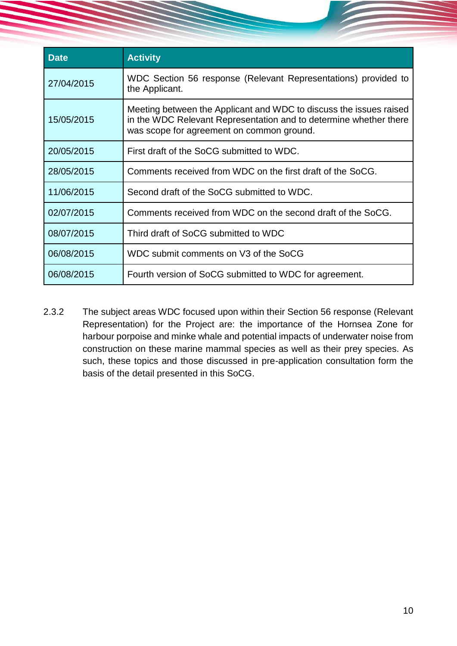| <b>Date</b> | <b>Activity</b>                                                                                                                                                                      |
|-------------|--------------------------------------------------------------------------------------------------------------------------------------------------------------------------------------|
| 27/04/2015  | WDC Section 56 response (Relevant Representations) provided to<br>the Applicant.                                                                                                     |
| 15/05/2015  | Meeting between the Applicant and WDC to discuss the issues raised<br>in the WDC Relevant Representation and to determine whether there<br>was scope for agreement on common ground. |
| 20/05/2015  | First draft of the SoCG submitted to WDC.                                                                                                                                            |
| 28/05/2015  | Comments received from WDC on the first draft of the SoCG.                                                                                                                           |
| 11/06/2015  | Second draft of the SoCG submitted to WDC.                                                                                                                                           |
| 02/07/2015  | Comments received from WDC on the second draft of the SoCG.                                                                                                                          |
| 08/07/2015  | Third draft of SoCG submitted to WDC                                                                                                                                                 |
| 06/08/2015  | WDC submit comments on V3 of the SoCG                                                                                                                                                |
| 06/08/2015  | Fourth version of SoCG submitted to WDC for agreement.                                                                                                                               |

2.3.2 The subject areas WDC focused upon within their Section 56 response (Relevant Representation) for the Project are: the importance of the Hornsea Zone for harbour porpoise and minke whale and potential impacts of underwater noise from construction on these marine mammal species as well as their prey species. As such, these topics and those discussed in pre-application consultation form the basis of the detail presented in this SoCG.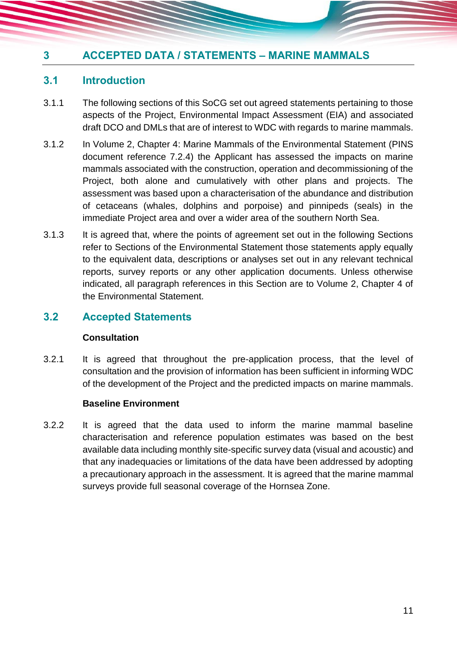## <span id="page-11-0"></span>**3 ACCEPTED DATA / STATEMENTS – MARINE MAMMALS**

#### <span id="page-11-1"></span>**3.1 Introduction**

- 3.1.1 The following sections of this SoCG set out agreed statements pertaining to those aspects of the Project, Environmental Impact Assessment (EIA) and associated draft DCO and DMLs that are of interest to WDC with regards to marine mammals.
- 3.1.2 In Volume 2, Chapter 4: Marine Mammals of the Environmental Statement (PINS document reference 7.2.4) the Applicant has assessed the impacts on marine mammals associated with the construction, operation and decommissioning of the Project, both alone and cumulatively with other plans and projects. The assessment was based upon a characterisation of the abundance and distribution of cetaceans (whales, dolphins and porpoise) and pinnipeds (seals) in the immediate Project area and over a wider area of the southern North Sea.
- 3.1.3 It is agreed that, where the points of agreement set out in the following Sections refer to Sections of the Environmental Statement those statements apply equally to the equivalent data, descriptions or analyses set out in any relevant technical reports, survey reports or any other application documents. Unless otherwise indicated, all paragraph references in this Section are to Volume 2, Chapter 4 of the Environmental Statement.

#### <span id="page-11-2"></span>**3.2 Accepted Statements**

#### **Consultation**

3.2.1 It is agreed that throughout the pre-application process, that the level of consultation and the provision of information has been sufficient in informing WDC of the development of the Project and the predicted impacts on marine mammals.

#### **Baseline Environment**

3.2.2 It is agreed that the data used to inform the marine mammal baseline characterisation and reference population estimates was based on the best available data including monthly site-specific survey data (visual and acoustic) and that any inadequacies or limitations of the data have been addressed by adopting a precautionary approach in the assessment. It is agreed that the marine mammal surveys provide full seasonal coverage of the Hornsea Zone.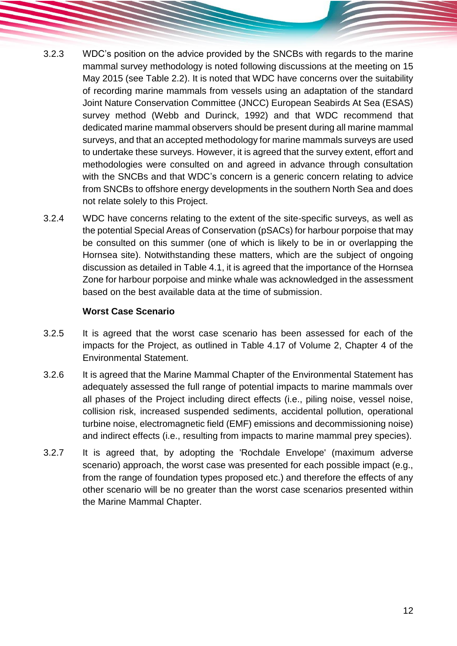- 3.2.3 WDC's position on the advice provided by the SNCBs with regards to the marine mammal survey methodology is noted following discussions at the meeting on 15 May 2015 (see [Table 2.2\)](#page-9-5). It is noted that WDC have concerns over the suitability of recording marine mammals from vessels using an adaptation of the standard Joint Nature Conservation Committee (JNCC) European Seabirds At Sea (ESAS) survey method (Webb and Durinck, 1992) and that WDC recommend that dedicated marine mammal observers should be present during all marine mammal surveys, and that an accepted methodology for marine mammals surveys are used to undertake these surveys. However, it is agreed that the survey extent, effort and methodologies were consulted on and agreed in advance through consultation with the SNCBs and that WDC's concern is a generic concern relating to advice from SNCBs to offshore energy developments in the southern North Sea and does not relate solely to this Project.
- 3.2.4 WDC have concerns relating to the extent of the site-specific surveys, as well as the potential Special Areas of Conservation (pSACs) for harbour porpoise that may be consulted on this summer (one of which is likely to be in or overlapping the Hornsea site). Notwithstanding these matters, which are the subject of ongoing discussion as detailed in [Table 4.1,](#page-17-1) it is agreed that the importance of the Hornsea Zone for harbour porpoise and minke whale was acknowledged in the assessment based on the best available data at the time of submission.

#### **Worst Case Scenario**

- 3.2.5 It is agreed that the worst case scenario has been assessed for each of the impacts for the Project, as outlined in Table 4.17 of Volume 2, Chapter 4 of the Environmental Statement.
- 3.2.6 It is agreed that the Marine Mammal Chapter of the Environmental Statement has adequately assessed the full range of potential impacts to marine mammals over all phases of the Project including direct effects (i.e., piling noise, vessel noise, collision risk, increased suspended sediments, accidental pollution, operational turbine noise, electromagnetic field (EMF) emissions and decommissioning noise) and indirect effects (i.e., resulting from impacts to marine mammal prey species).
- 3.2.7 It is agreed that, by adopting the 'Rochdale Envelope' (maximum adverse scenario) approach, the worst case was presented for each possible impact (e.g., from the range of foundation types proposed etc.) and therefore the effects of any other scenario will be no greater than the worst case scenarios presented within the Marine Mammal Chapter.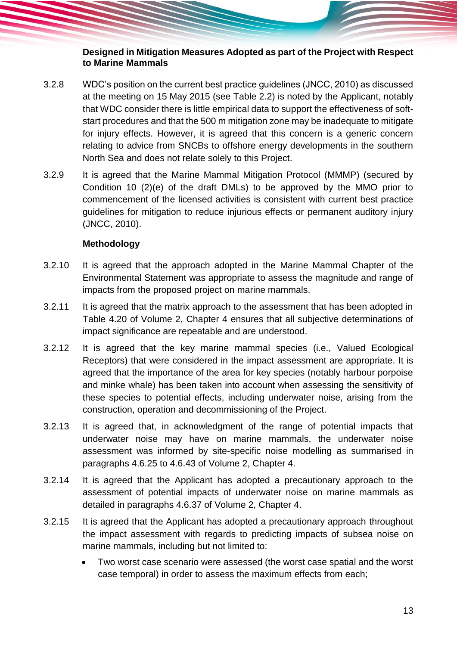#### **Designed in Mitigation Measures Adopted as part of the Project with Respect to Marine Mammals**

- <span id="page-13-2"></span>3.2.8 WDC's position on the current best practice guidelines (JNCC, 2010) as discussed at the meeting on 15 May 2015 (see [Table 2.2\)](#page-9-5) is noted by the Applicant, notably that WDC consider there is little empirical data to support the effectiveness of softstart procedures and that the 500 m mitigation zone may be inadequate to mitigate for injury effects. However, it is agreed that this concern is a generic concern relating to advice from SNCBs to offshore energy developments in the southern North Sea and does not relate solely to this Project.
- 3.2.9 It is agreed that the Marine Mammal Mitigation Protocol (MMMP) (secured by Condition 10 (2)(e) of the draft DMLs) to be approved by the MMO prior to commencement of the licensed activities is consistent with current best practice guidelines for mitigation to reduce injurious effects or permanent auditory injury (JNCC, 2010).

#### <span id="page-13-0"></span>**Methodology**

- 3.2.10 It is agreed that the approach adopted in the Marine Mammal Chapter of the Environmental Statement was appropriate to assess the magnitude and range of impacts from the proposed project on marine mammals.
- 3.2.11 It is agreed that the matrix approach to the assessment that has been adopted in Table 4.20 of Volume 2, Chapter 4 ensures that all subjective determinations of impact significance are repeatable and are understood.
- 3.2.12 It is agreed that the key marine mammal species (i.e., Valued Ecological Receptors) that were considered in the impact assessment are appropriate. It is agreed that the importance of the area for key species (notably harbour porpoise and minke whale) has been taken into account when assessing the sensitivity of these species to potential effects, including underwater noise, arising from the construction, operation and decommissioning of the Project.
- 3.2.13 It is agreed that, in acknowledgment of the range of potential impacts that underwater noise may have on marine mammals, the underwater noise assessment was informed by site-specific noise modelling as summarised in paragraphs 4.6.25 to 4.6.43 of Volume 2, Chapter 4.
- 3.2.14 It is agreed that the Applicant has adopted a precautionary approach to the assessment of potential impacts of underwater noise on marine mammals as detailed in paragraphs 4.6.37 of Volume 2, Chapter 4.
- <span id="page-13-1"></span>3.2.15 It is agreed that the Applicant has adopted a precautionary approach throughout the impact assessment with regards to predicting impacts of subsea noise on marine mammals, including but not limited to:
	- Two worst case scenario were assessed (the worst case spatial and the worst case temporal) in order to assess the maximum effects from each;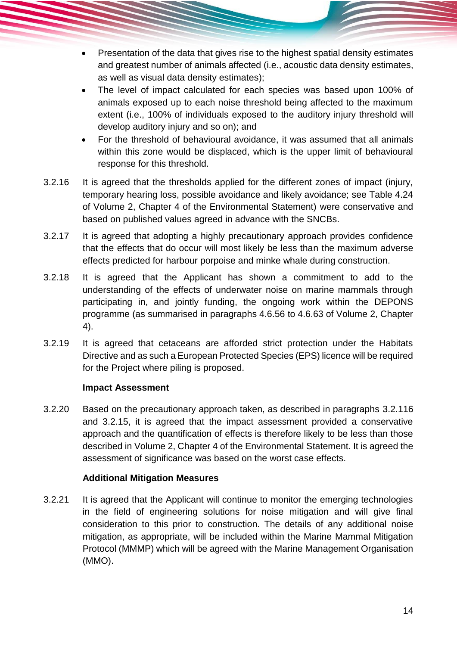- Presentation of the data that gives rise to the highest spatial density estimates and greatest number of animals affected (i.e., acoustic data density estimates, as well as visual data density estimates);
- The level of impact calculated for each species was based upon 100% of animals exposed up to each noise threshold being affected to the maximum extent (i.e., 100% of individuals exposed to the auditory injury threshold will develop auditory injury and so on); and
- For the threshold of behavioural avoidance, it was assumed that all animals within this zone would be displaced, which is the upper limit of behavioural response for this threshold.
- 3.2.16 It is agreed that the thresholds applied for the different zones of impact (injury, temporary hearing loss, possible avoidance and likely avoidance; see Table 4.24 of Volume 2, Chapter 4 of the Environmental Statement) were conservative and based on published values agreed in advance with the SNCBs.
- 3.2.17 It is agreed that adopting a highly precautionary approach provides confidence that the effects that do occur will most likely be less than the maximum adverse effects predicted for harbour porpoise and minke whale during construction.
- 3.2.18 It is agreed that the Applicant has shown a commitment to add to the understanding of the effects of underwater noise on marine mammals through participating in, and jointly funding, the ongoing work within the DEPONS programme (as summarised in paragraphs 4.6.56 to 4.6.63 of Volume 2, Chapter 4).
- 3.2.19 It is agreed that cetaceans are afforded strict protection under the Habitats Directive and as such a European Protected Species (EPS) licence will be required for the Project where piling is proposed.

#### **Impact Assessment**

3.2.20 Based on the precautionary approach taken, as described in paragraphs [3.2.116](#page-13-0) and [3.2.15,](#page-13-1) it is agreed that the impact assessment provided a conservative approach and the quantification of effects is therefore likely to be less than those described in Volume 2, Chapter 4 of the Environmental Statement. It is agreed the assessment of significance was based on the worst case effects.

#### **Additional Mitigation Measures**

3.2.21 It is agreed that the Applicant will continue to monitor the emerging technologies in the field of engineering solutions for noise mitigation and will give final consideration to this prior to construction. The details of any additional noise mitigation, as appropriate, will be included within the Marine Mammal Mitigation Protocol (MMMP) which will be agreed with the Marine Management Organisation (MMO).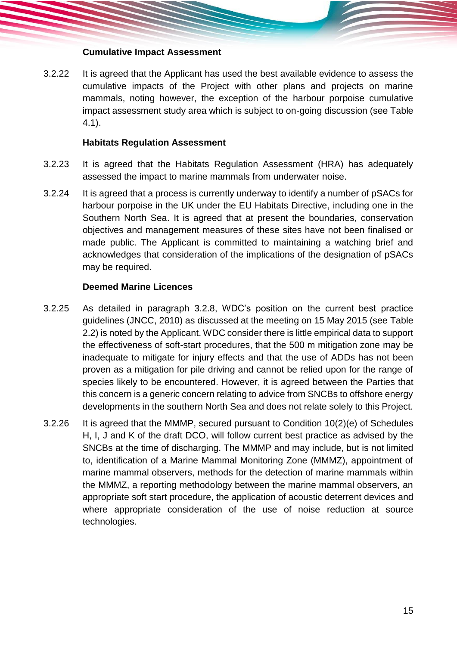#### **Cumulative Impact Assessment**

3.2.22 It is agreed that the Applicant has used the best available evidence to assess the cumulative impacts of the Project with other plans and projects on marine mammals, noting however, the exception of the harbour porpoise cumulative impact assessment study area which is subject to on-going discussion (see [Table](#page-17-1)  [4.1\)](#page-17-1).

#### **Habitats Regulation Assessment**

- 3.2.23 It is agreed that the Habitats Regulation Assessment (HRA) has adequately assessed the impact to marine mammals from underwater noise.
- 3.2.24 It is agreed that a process is currently underway to identify a number of pSACs for harbour porpoise in the UK under the EU Habitats Directive, including one in the Southern North Sea. It is agreed that at present the boundaries, conservation objectives and management measures of these sites have not been finalised or made public. The Applicant is committed to maintaining a watching brief and acknowledges that consideration of the implications of the designation of pSACs may be required.

#### <span id="page-15-0"></span>**Deemed Marine Licences**

- 3.2.25 As detailed in paragraph [3.2.8,](#page-13-2) WDC's position on the current best practice guidelines (JNCC, 2010) as discussed at the meeting on 15 May 2015 (see [Table](#page-9-5)  [2.2\)](#page-9-5) is noted by the Applicant. WDC consider there is little empirical data to support the effectiveness of soft-start procedures, that the 500 m mitigation zone may be inadequate to mitigate for injury effects and that the use of ADDs has not been proven as a mitigation for pile driving and cannot be relied upon for the range of species likely to be encountered. However, it is agreed between the Parties that this concern is a generic concern relating to advice from SNCBs to offshore energy developments in the southern North Sea and does not relate solely to this Project.
- 3.2.26 It is agreed that the MMMP, secured pursuant to Condition 10(2)(e) of Schedules H, I, J and K of the draft DCO, will follow current best practice as advised by the SNCBs at the time of discharging. The MMMP and may include, but is not limited to, identification of a Marine Mammal Monitoring Zone (MMMZ), appointment of marine mammal observers, methods for the detection of marine mammals within the MMMZ, a reporting methodology between the marine mammal observers, an appropriate soft start procedure, the application of acoustic deterrent devices and where appropriate consideration of the use of noise reduction at source technologies.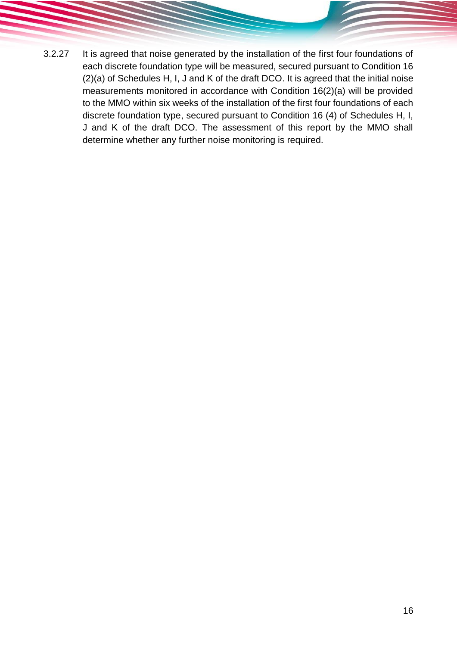3.2.27 It is agreed that noise generated by the installation of the first four foundations of each discrete foundation type will be measured, secured pursuant to Condition 16 (2)(a) of Schedules H, I, J and K of the draft DCO. It is agreed that the initial noise measurements monitored in accordance with Condition 16(2)(a) will be provided to the MMO within six weeks of the installation of the first four foundations of each discrete foundation type, secured pursuant to Condition 16 (4) of Schedules H, I, J and K of the draft DCO. The assessment of this report by the MMO shall determine whether any further noise monitoring is required.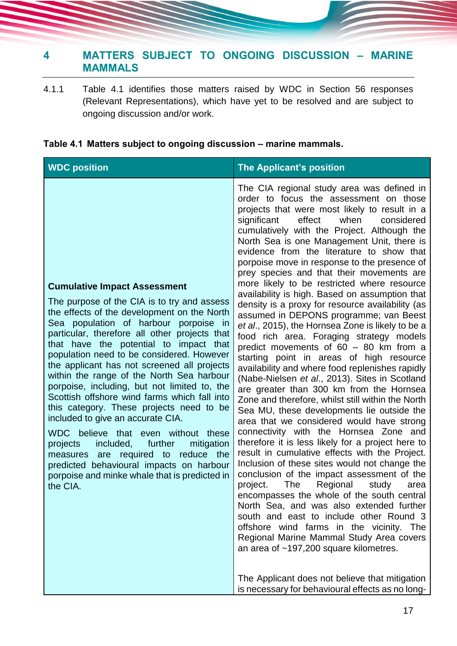## <span id="page-17-0"></span>**4 MATTERS SUBJECT TO ONGOING DISCUSSION – MARINE MAMMALS**

4.1.1 [Table 4.1](#page-17-1) identifies those matters raised by WDC in Section 56 responses (Relevant Representations), which have yet to be resolved and are subject to ongoing discussion and/or work.

#### <span id="page-17-1"></span>**Table 4.1 Matters subject to ongoing discussion – marine mammals.**

| <b>WDC position</b>                                                                                                                                                                                                                                                                                                                                                                                                                                                                                                                                                                                                                                                                                                                                                                                                                      | <b>The Applicant's position</b>                                                                                                                                                                                                                                                                                                                                                                                                                                                                                                                                                                                                                                                                                                                                                                                                                                                                                                                                                                                                                                                                                                                                                                                                                                                                                                                                                                                                                                                                                                                                                                                                                                                                                                                                                                     |
|------------------------------------------------------------------------------------------------------------------------------------------------------------------------------------------------------------------------------------------------------------------------------------------------------------------------------------------------------------------------------------------------------------------------------------------------------------------------------------------------------------------------------------------------------------------------------------------------------------------------------------------------------------------------------------------------------------------------------------------------------------------------------------------------------------------------------------------|-----------------------------------------------------------------------------------------------------------------------------------------------------------------------------------------------------------------------------------------------------------------------------------------------------------------------------------------------------------------------------------------------------------------------------------------------------------------------------------------------------------------------------------------------------------------------------------------------------------------------------------------------------------------------------------------------------------------------------------------------------------------------------------------------------------------------------------------------------------------------------------------------------------------------------------------------------------------------------------------------------------------------------------------------------------------------------------------------------------------------------------------------------------------------------------------------------------------------------------------------------------------------------------------------------------------------------------------------------------------------------------------------------------------------------------------------------------------------------------------------------------------------------------------------------------------------------------------------------------------------------------------------------------------------------------------------------------------------------------------------------------------------------------------------------|
| <b>Cumulative Impact Assessment</b><br>The purpose of the CIA is to try and assess<br>the effects of the development on the North<br>Sea population of harbour porpoise in<br>particular, therefore all other projects that<br>that have the potential to impact that<br>population need to be considered. However<br>the applicant has not screened all projects<br>within the range of the North Sea harbour<br>porpoise, including, but not limited to, the<br>Scottish offshore wind farms which fall into<br>this category. These projects need to be<br>included to give an accurate CIA.<br>WDC believe that even without these<br>further<br>mitigation<br>projects<br>included,<br>measures are required to reduce the<br>predicted behavioural impacts on harbour<br>porpoise and minke whale that is predicted in<br>the CIA. | The CIA regional study area was defined in<br>order to focus the assessment on those<br>projects that were most likely to result in a<br>effect<br>significant<br>when<br>considered<br>cumulatively with the Project. Although the<br>North Sea is one Management Unit, there is<br>evidence from the literature to show that<br>porpoise move in response to the presence of<br>prey species and that their movements are<br>more likely to be restricted where resource<br>availability is high. Based on assumption that<br>density is a proxy for resource availability (as<br>assumed in DEPONS programme; van Beest<br>et al., 2015), the Hornsea Zone is likely to be a<br>food rich area. Foraging strategy models<br>predict movements of $60 - 80$ km from a<br>starting point in areas of high resource<br>availability and where food replenishes rapidly<br>(Nabe-Nielsen et al., 2013). Sites in Scotland<br>are greater than 300 km from the Hornsea<br>Zone and therefore, whilst still within the North<br>Sea MU, these developments lie outside the<br>area that we considered would have strong<br>connectivity with the Hornsea Zone and<br>therefore it is less likely for a project here to<br>result in cumulative effects with the Project.<br>Inclusion of these sites would not change the<br>conclusion of the impact assessment of the<br>The<br>Regional<br>project.<br>study<br>area<br>encompasses the whole of the south central<br>North Sea, and was also extended further<br>south and east to include other Round 3<br>offshore wind farms in the vicinity. The<br>Regional Marine Mammal Study Area covers<br>an area of $~197,200$ square kilometres.<br>The Applicant does not believe that mitigation<br>is necessary for behavioural effects as no long- |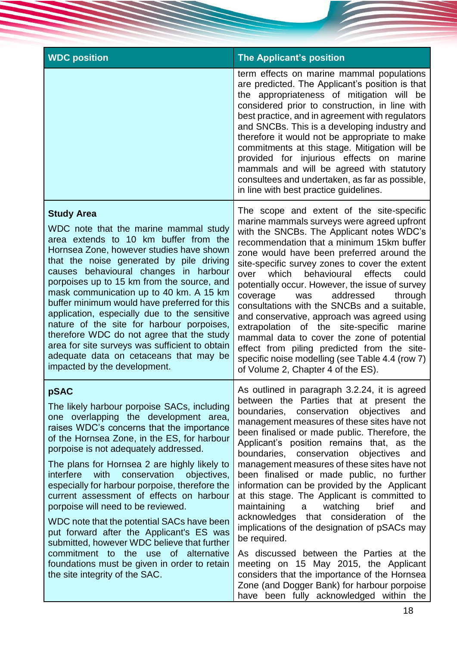| <b>WDC position</b>                                                                                                                                                                                                                                                                                                                                                                                                                                                                                                                                                                                                                                                                                                                          | <b>The Applicant's position</b>                                                                                                                                                                                                                                                                                                                                                                                                                                                                                                                                                                                                                                                                                                                                                                                                                                                                                                |
|----------------------------------------------------------------------------------------------------------------------------------------------------------------------------------------------------------------------------------------------------------------------------------------------------------------------------------------------------------------------------------------------------------------------------------------------------------------------------------------------------------------------------------------------------------------------------------------------------------------------------------------------------------------------------------------------------------------------------------------------|--------------------------------------------------------------------------------------------------------------------------------------------------------------------------------------------------------------------------------------------------------------------------------------------------------------------------------------------------------------------------------------------------------------------------------------------------------------------------------------------------------------------------------------------------------------------------------------------------------------------------------------------------------------------------------------------------------------------------------------------------------------------------------------------------------------------------------------------------------------------------------------------------------------------------------|
|                                                                                                                                                                                                                                                                                                                                                                                                                                                                                                                                                                                                                                                                                                                                              | term effects on marine mammal populations<br>are predicted. The Applicant's position is that<br>the appropriateness of mitigation will be<br>considered prior to construction, in line with<br>best practice, and in agreement with regulators<br>and SNCBs. This is a developing industry and<br>therefore it would not be appropriate to make<br>commitments at this stage. Mitigation will be<br>provided for injurious effects on marine<br>mammals and will be agreed with statutory<br>consultees and undertaken, as far as possible,<br>in line with best practice guidelines.                                                                                                                                                                                                                                                                                                                                          |
| <b>Study Area</b><br>WDC note that the marine mammal study<br>area extends to 10 km buffer from the<br>Hornsea Zone, however studies have shown<br>that the noise generated by pile driving<br>causes behavioural changes in harbour<br>porpoises up to 15 km from the source, and<br>mask communication up to 40 km. A 15 km<br>buffer minimum would have preferred for this<br>application, especially due to the sensitive<br>nature of the site for harbour porpoises,<br>therefore WDC do not agree that the study<br>area for site surveys was sufficient to obtain<br>adequate data on cetaceans that may be<br>impacted by the development.                                                                                          | The scope and extent of the site-specific<br>marine mammals surveys were agreed upfront<br>with the SNCBs. The Applicant notes WDC's<br>recommendation that a minimum 15km buffer<br>zone would have been preferred around the<br>site-specific survey zones to cover the extent<br>which<br>behavioural<br>effects<br>over<br>could<br>potentially occur. However, the issue of survey<br>addressed<br>through<br>coverage<br>was<br>consultations with the SNCBs and a suitable,<br>and conservative, approach was agreed using<br>extrapolation of the site-specific marine<br>mammal data to cover the zone of potential<br>effect from piling predicted from the site-<br>specific noise modelling (see Table 4.4 (row 7)<br>of Volume 2, Chapter 4 of the ES).                                                                                                                                                           |
| pSAC<br>The likely harbour porpoise SACs, including<br>one overlapping the development area,<br>raises WDC's concerns that the importance<br>of the Hornsea Zone, in the ES, for harbour<br>porpoise is not adequately addressed.<br>The plans for Hornsea 2 are highly likely to<br>with<br>interfere<br>conservation<br>objectives,<br>especially for harbour porpoise, therefore the<br>current assessment of effects on harbour<br>porpoise will need to be reviewed.<br>WDC note that the potential SACs have been<br>put forward after the Applicant's ES was<br>submitted, however WDC believe that further<br>commitment to the use of alternative<br>foundations must be given in order to retain<br>the site integrity of the SAC. | As outlined in paragraph 3.2.24, it is agreed<br>between the Parties that at present the<br>objectives<br>boundaries,<br>conservation<br>and<br>management measures of these sites have not<br>been finalised or made public. Therefore, the<br>Applicant's position remains that, as the<br>boundaries, conservation objectives<br>and<br>management measures of these sites have not<br>been finalised or made public, no further<br>information can be provided by the Applicant<br>at this stage. The Applicant is committed to<br>maintaining<br>watching<br>brief<br>and<br>a<br>acknowledges that consideration of<br>the<br>implications of the designation of pSACs may<br>be required.<br>As discussed between the Parties at the<br>meeting on 15 May 2015, the Applicant<br>considers that the importance of the Hornsea<br>Zone (and Dogger Bank) for harbour porpoise<br>have been fully acknowledged within the |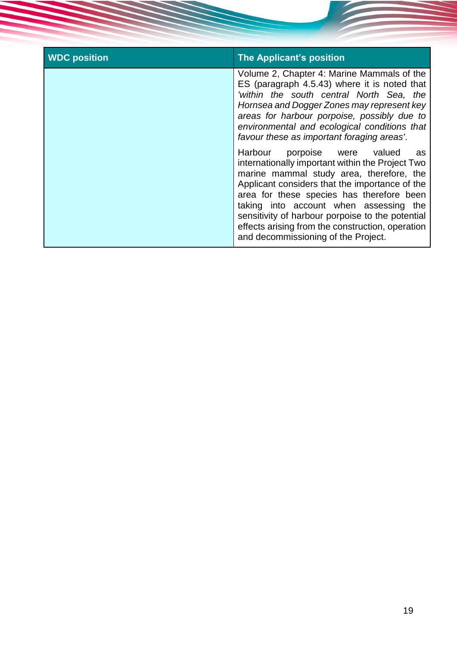| <b>WDC position</b> | <b>The Applicant's position</b>                                                                                                                                                                                                                                                                                                                                                                                            |
|---------------------|----------------------------------------------------------------------------------------------------------------------------------------------------------------------------------------------------------------------------------------------------------------------------------------------------------------------------------------------------------------------------------------------------------------------------|
|                     | Volume 2, Chapter 4: Marine Mammals of the<br>ES (paragraph 4.5.43) where it is noted that<br>'within the south central North Sea, the<br>Hornsea and Dogger Zones may represent key<br>areas for harbour porpoise, possibly due to<br>environmental and ecological conditions that<br>favour these as important foraging areas'.                                                                                          |
|                     | Harbour porpoise were valued<br>as<br>internationally important within the Project Two<br>marine mammal study area, therefore, the<br>Applicant considers that the importance of the<br>area for these species has therefore been<br>taking into account when assessing the<br>sensitivity of harbour porpoise to the potential<br>effects arising from the construction, operation<br>and decommissioning of the Project. |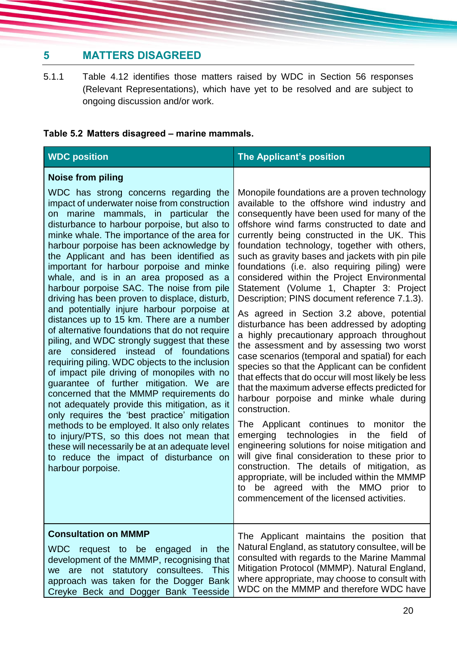## <span id="page-20-0"></span>**5 MATTERS DISAGREED**

5.1.1 [Table 4.12](#page-17-1) identifies those matters raised by WDC in Section 56 responses (Relevant Representations), which have yet to be resolved and are subject to ongoing discussion and/or work.

## **Table 5.2 Matters disagreed – marine mammals.**

| <b>WDC position</b>                                                                                                                                                                                                                                                                                                                                                                                                                                                                                                                                                                                                                                                                                                                                                                                                                                                                                                                                                                                                                                                                                                                                                                                                                                                             | The Applicant's position                                                                                                                                                                                                                                                                                                                                                                                                                                                                                                                                                                                                                                                                                                                                                                                                                                                                                                                                                                                                                                                                                                                                                                                                                                                                                                                                                                 |
|---------------------------------------------------------------------------------------------------------------------------------------------------------------------------------------------------------------------------------------------------------------------------------------------------------------------------------------------------------------------------------------------------------------------------------------------------------------------------------------------------------------------------------------------------------------------------------------------------------------------------------------------------------------------------------------------------------------------------------------------------------------------------------------------------------------------------------------------------------------------------------------------------------------------------------------------------------------------------------------------------------------------------------------------------------------------------------------------------------------------------------------------------------------------------------------------------------------------------------------------------------------------------------|------------------------------------------------------------------------------------------------------------------------------------------------------------------------------------------------------------------------------------------------------------------------------------------------------------------------------------------------------------------------------------------------------------------------------------------------------------------------------------------------------------------------------------------------------------------------------------------------------------------------------------------------------------------------------------------------------------------------------------------------------------------------------------------------------------------------------------------------------------------------------------------------------------------------------------------------------------------------------------------------------------------------------------------------------------------------------------------------------------------------------------------------------------------------------------------------------------------------------------------------------------------------------------------------------------------------------------------------------------------------------------------|
| <b>Noise from piling</b><br>WDC has strong concerns regarding the<br>impact of underwater noise from construction<br>on marine mammals, in particular the<br>disturbance to harbour porpoise, but also to<br>minke whale. The importance of the area for<br>harbour porpoise has been acknowledge by<br>the Applicant and has been identified as<br>important for harbour porpoise and minke<br>whale, and is in an area proposed as a<br>harbour porpoise SAC. The noise from pile<br>driving has been proven to displace, disturb,<br>and potentially injure harbour porpoise at<br>distances up to 15 km. There are a number<br>of alternative foundations that do not require<br>piling, and WDC strongly suggest that these<br>are considered instead of foundations<br>requiring piling. WDC objects to the inclusion<br>of impact pile driving of monopiles with no<br>guarantee of further mitigation. We are<br>concerned that the MMMP requirements do<br>not adequately provide this mitigation, as it<br>only requires the 'best practice' mitigation<br>methods to be employed. It also only relates<br>to injury/PTS, so this does not mean that<br>these will necessarily be at an adequate level<br>to reduce the impact of disturbance on<br>harbour porpoise. | Monopile foundations are a proven technology<br>available to the offshore wind industry and<br>consequently have been used for many of the<br>offshore wind farms constructed to date and<br>currently being constructed in the UK. This<br>foundation technology, together with others,<br>such as gravity bases and jackets with pin pile<br>foundations (i.e. also requiring piling) were<br>considered within the Project Environmental<br>Statement (Volume 1, Chapter 3: Project<br>Description; PINS document reference 7.1.3).<br>As agreed in Section 3.2 above, potential<br>disturbance has been addressed by adopting<br>a highly precautionary approach throughout<br>the assessment and by assessing two worst<br>case scenarios (temporal and spatial) for each<br>species so that the Applicant can be confident<br>that effects that do occur will most likely be less<br>that the maximum adverse effects predicted for<br>harbour porpoise and minke whale during<br>construction.<br>The Applicant continues to monitor<br>the<br>emerging technologies in the<br>field<br>0f<br>engineering solutions for noise mitigation and<br>will give final consideration to these prior to<br>construction. The details of mitigation, as<br>appropriate, will be included within the MMMP<br>to be agreed with the MMO prior to<br>commencement of the licensed activities. |
| <b>Consultation on MMMP</b><br>WDC request to be engaged in the<br>development of the MMMP, recognising that<br>are not statutory consultees. This<br>we<br>approach was taken for the Dogger Bank<br>Creyke Beck and Dogger Bank Teesside                                                                                                                                                                                                                                                                                                                                                                                                                                                                                                                                                                                                                                                                                                                                                                                                                                                                                                                                                                                                                                      | The Applicant maintains the position that<br>Natural England, as statutory consultee, will be<br>consulted with regards to the Marine Mammal<br>Mitigation Protocol (MMMP). Natural England,<br>where appropriate, may choose to consult with<br>WDC on the MMMP and therefore WDC have                                                                                                                                                                                                                                                                                                                                                                                                                                                                                                                                                                                                                                                                                                                                                                                                                                                                                                                                                                                                                                                                                                  |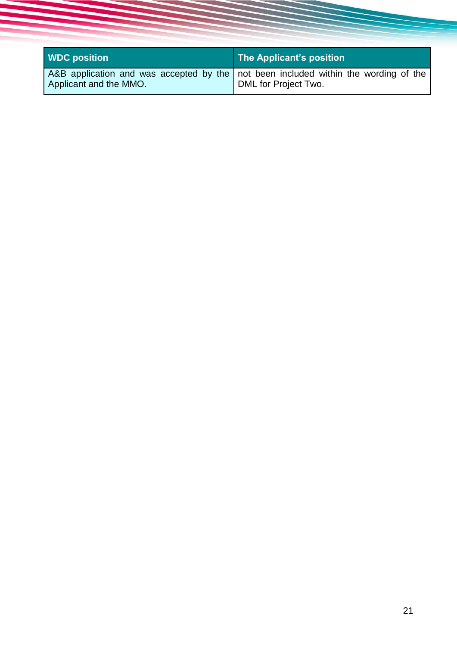| <b>WDC position</b>    | The Applicant's position                                                                                        |
|------------------------|-----------------------------------------------------------------------------------------------------------------|
| Applicant and the MMO. | A&B application and was accepted by the   not been included within the wording of the  <br>DML for Project Two. |